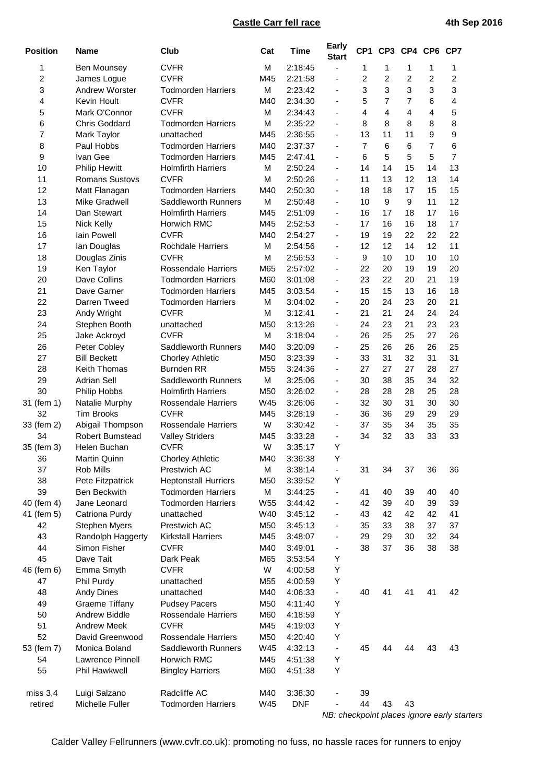## **Castle Carr fell race 4th Sep 2016**

| <b>Position</b> | <b>Name</b>             | Club                        | Cat             | <b>Time</b> | <b>Early</b><br><b>Start</b> |                  | CP1 CP3        |                | CP4 CP6 CP7    |                                             |
|-----------------|-------------------------|-----------------------------|-----------------|-------------|------------------------------|------------------|----------------|----------------|----------------|---------------------------------------------|
| 1               | Ben Mounsey             | <b>CVFR</b>                 | M               | 2:18:45     | $\overline{\phantom{a}}$     | 1                | 1              | 1              | 1              | 1                                           |
| 2               | James Logue             | <b>CVFR</b>                 | M45             | 2:21:58     | $\overline{\phantom{a}}$     | 2                | $\overline{c}$ | $\overline{c}$ | $\overline{2}$ | 2                                           |
| 3               | <b>Andrew Worster</b>   | <b>Todmorden Harriers</b>   | M               | 2:23:42     | $\overline{\phantom{a}}$     | 3                | 3              | 3              | 3              | 3                                           |
| 4               | <b>Kevin Hoult</b>      | <b>CVFR</b>                 | M40             | 2:34:30     | $\blacksquare$               | 5                | $\overline{7}$ | 7              | 6              | 4                                           |
| 5               | Mark O'Connor           | <b>CVFR</b>                 | M               | 2:34:43     | $\blacksquare$               | 4                | 4              | 4              | 4              | 5                                           |
| 6               | <b>Chris Goddard</b>    | <b>Todmorden Harriers</b>   | M               | 2:35:22     | $\blacksquare$               | 8                | 8              | 8              | 8              | 8                                           |
| 7               | Mark Taylor             | unattached                  | M45             | 2:36:55     | $\overline{\phantom{a}}$     | 13               | 11             | 11             | 9              | 9                                           |
| 8               | Paul Hobbs              | <b>Todmorden Harriers</b>   | M40             | 2:37:37     | $\blacksquare$               | $\overline{7}$   | 6              | 6              | 7              | 6                                           |
| 9               | Ivan Gee                | <b>Todmorden Harriers</b>   | M45             | 2:47:41     | $\blacksquare$               | 6                | 5              | 5              | 5              | $\overline{7}$                              |
| 10              | <b>Philip Hewitt</b>    | <b>Holmfirth Harriers</b>   | M               | 2:50:24     | $\overline{\phantom{a}}$     | 14               | 14             | 15             | 14             | 13                                          |
| 11              | Romans Sustovs          | <b>CVFR</b>                 | M               | 2:50:26     | $\overline{\phantom{a}}$     | 11               | 13             | 12             | 13             | 14                                          |
| 12              | Matt Flanagan           | <b>Todmorden Harriers</b>   | M40             | 2:50:30     | $\overline{\phantom{a}}$     | 18               | 18             | 17             | 15             | 15                                          |
| 13              | Mike Gradwell           | Saddleworth Runners         | M               | 2:50:48     | $\overline{\phantom{a}}$     | 10               | 9              | 9              | 11             | 12                                          |
| 14              | Dan Stewart             | <b>Holmfirth Harriers</b>   | M45             | 2:51:09     | $\blacksquare$               | 16               | 17             | 18             | 17             | 16                                          |
| 15              | Nick Kelly              | Horwich RMC                 | M45             | 2:52:53     | $\overline{\phantom{a}}$     | 17               | 16             | 16             | 18             | 17                                          |
| 16              | lain Powell             | <b>CVFR</b>                 | M40             | 2:54:27     | $\overline{\phantom{a}}$     | 19               | 19             | 22             | 22             | 22                                          |
| 17              | lan Douglas             | Rochdale Harriers           | M               | 2:54:56     | $\overline{\phantom{a}}$     | 12               | 12             | 14             | 12             | 11                                          |
| 18              | Douglas Zinis           | <b>CVFR</b>                 | M               | 2:56:53     | $\blacksquare$               | $\boldsymbol{9}$ | 10             | 10             | 10             | 10                                          |
| 19              | Ken Taylor              | Rossendale Harriers         | M65             | 2:57:02     | $\blacksquare$               | 22               | 20             | 19             | 19             | 20                                          |
| 20              | Dave Collins            | <b>Todmorden Harriers</b>   | M60             | 3:01:08     | $\overline{\phantom{a}}$     | 23               | 22             | 20             | 21             | 19                                          |
| 21              | Dave Garner             | <b>Todmorden Harriers</b>   | M45             | 3:03:54     | $\blacksquare$               | 15               | 15             | 13             | 16             | 18                                          |
| 22              | Darren Tweed            | <b>Todmorden Harriers</b>   | M               | 3:04:02     | $\overline{\phantom{a}}$     | 20               | 24             | 23             | 20             | 21                                          |
| 23              | Andy Wright             | <b>CVFR</b>                 | M               | 3:12:41     | $\blacksquare$               | 21               | 21             | 24             | 24             | 24                                          |
| 24              | Stephen Booth           | unattached                  | M50             | 3:13:26     | $\overline{\phantom{a}}$     | 24               | 23             | 21             | 23             | 23                                          |
| 25              | Jake Ackroyd            | <b>CVFR</b>                 | M               | 3:18:04     | $\overline{\phantom{a}}$     | 26               | 25             | 25             | 27             | 26                                          |
| 26              | Peter Cobley            | Saddleworth Runners         | M40             | 3:20:09     | $\overline{\phantom{a}}$     | 25               | 26             | 26             | 26             | 25                                          |
| 27              | <b>Bill Beckett</b>     | <b>Chorley Athletic</b>     | M50             | 3:23:39     | $\overline{\phantom{a}}$     | 33               | 31             | 32             | 31             | 31                                          |
| 28              | <b>Keith Thomas</b>     | <b>Burnden RR</b>           | M <sub>55</sub> | 3:24:36     | $\overline{\phantom{a}}$     | 27               | 27             | 27             | 28             | 27                                          |
| 29              | <b>Adrian Sell</b>      | <b>Saddleworth Runners</b>  | M               | 3:25:06     | $\overline{\phantom{a}}$     | 30               | 38             | 35             | 34             | 32                                          |
| 30              | Philip Hobbs            | <b>Holmfirth Harriers</b>   | M50             | 3:26:02     | $\blacksquare$               | 28               | 28             | 28             | 25             | 28                                          |
| 31 (fem 1)      | Natalie Murphy          | Rossendale Harriers         | W45             | 3:26:06     | $\overline{\phantom{a}}$     | 32               | 30             | 31             | 30             | 30                                          |
| 32              | <b>Tim Brooks</b>       | <b>CVFR</b>                 | M45             | 3:28:19     | $\overline{\phantom{a}}$     | 36               | 36             | 29             | 29             | 29                                          |
| 33 (fem 2)      | Abigail Thompson        | <b>Rossendale Harriers</b>  | W               | 3:30:42     | $\overline{\phantom{a}}$     | 37               | 35             | 34             | 35             | 35                                          |
| 34              | <b>Robert Bumstead</b>  | <b>Valley Striders</b>      | M45             | 3:33:28     | $\overline{\phantom{a}}$     | 34               | 32             | 33             | 33             | 33                                          |
| 35 (fem 3)      | Helen Buchan            | <b>CVFR</b>                 | W               | 3:35:17     | Υ                            |                  |                |                |                |                                             |
| 36              | Martin Quinn            | <b>Chorley Athletic</b>     | M40             | 3:36:38     | Y                            |                  |                |                |                |                                             |
| 37              | Rob Mills               | Prestwich AC                | M               | 3:38:14     | $\overline{\phantom{a}}$     | 31               | 34             | 37             | 36             | 36                                          |
| 38              | Pete Fitzpatrick        | <b>Heptonstall Hurriers</b> | M50             | 3:39:52     | Y                            |                  |                |                |                |                                             |
| 39              | Ben Beckwith            | <b>Todmorden Harriers</b>   | М               | 3:44:25     | $\blacksquare$               | 41               | 40             | 39             | 40             | 40                                          |
| 40 (fem 4)      | Jane Leonard            | <b>Todmorden Harriers</b>   | W <sub>55</sub> | 3:44:42     | $\overline{\phantom{a}}$     | 42               | 39             | 40             | 39             | 39                                          |
| 41 (fem 5)      | Catriona Purdy          | unattached                  | W40             | 3:45:12     | $\overline{\phantom{a}}$     | 43               | 42             | 42             | 42             | 41                                          |
| 42              | Stephen Myers           | Prestwich AC                | M50             | 3:45:13     | $\overline{\phantom{a}}$     | 35               | 33             | 38             | 37             | 37                                          |
| 43              | Randolph Haggerty       | <b>Kirkstall Harriers</b>   | M45             | 3:48:07     | $\overline{\phantom{a}}$     | 29               | 29             | 30             | 32             | 34                                          |
| 44              | Simon Fisher            | <b>CVFR</b>                 | M40             | 3:49:01     | $\overline{\phantom{a}}$     | 38               | 37             | 36             | 38             | 38                                          |
| 45              | Dave Tait               | Dark Peak                   | M65             | 3:53:54     | Y                            |                  |                |                |                |                                             |
| 46 (fem 6)      | Emma Smyth              | <b>CVFR</b>                 | W               | 4:00:58     | Y                            |                  |                |                |                |                                             |
| 47              | Phil Purdy              | unattached                  | M <sub>55</sub> | 4:00:59     | Υ                            |                  |                |                |                |                                             |
| 48              | <b>Andy Dines</b>       | unattached                  | M40             | 4:06:33     | $\overline{\phantom{a}}$     | 40               | 41             | 41             | 41             | 42                                          |
| 49              | <b>Graeme Tiffany</b>   | <b>Pudsey Pacers</b>        | M50             | 4:11:40     | Υ                            |                  |                |                |                |                                             |
| 50              | <b>Andrew Biddle</b>    | Rossendale Harriers         | M60             | 4:18:59     | Υ                            |                  |                |                |                |                                             |
| 51              | <b>Andrew Meek</b>      | <b>CVFR</b>                 | M45             | 4:19:03     | Υ                            |                  |                |                |                |                                             |
| 52              | David Greenwood         | Rossendale Harriers         | M50             | 4:20:40     | Υ                            |                  |                |                |                |                                             |
| 53 (fem 7)      | Monica Boland           | Saddleworth Runners         | W45             | 4:32:13     | $\overline{\phantom{a}}$     | 45               | 44             | 44             | 43             | 43                                          |
| 54              | <b>Lawrence Pinnell</b> | Horwich RMC                 | M45             | 4:51:38     | Y                            |                  |                |                |                |                                             |
| 55              | Phil Hawkwell           | <b>Bingley Harriers</b>     | M60             | 4:51:38     | Υ                            |                  |                |                |                |                                             |
| miss $3,4$      | Luigi Salzano           | Radcliffe AC                | M40             | 3:38:30     | $\overline{\phantom{a}}$     | 39               |                |                |                |                                             |
| retired         | Michelle Fuller         | <b>Todmorden Harriers</b>   | W45             | <b>DNF</b>  | $\overline{\phantom{0}}$     | 44               | 43             | 43             |                |                                             |
|                 |                         |                             |                 |             |                              |                  |                |                |                | NB: checkpoint places ignore early starters |